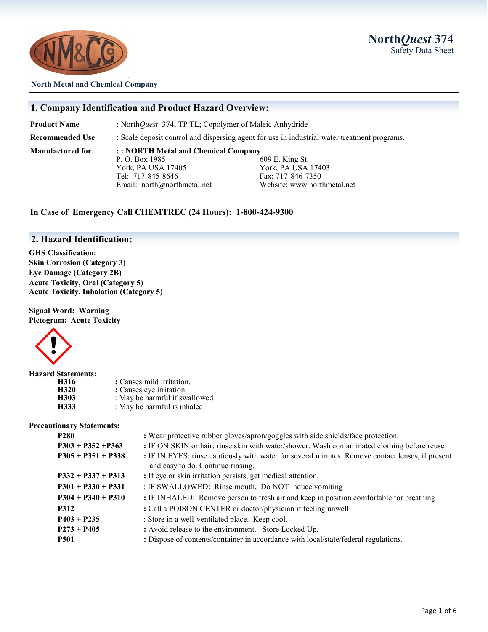



#### **North Metal and Chemical Company**

#### **1. Company Identification and Product Hazard Overview:**

**Product Name** : North*Quest* 374; TP TL; Copolymer of Maleic Anhydride

**Recommended Use :** Scale deposit control and dispersing agent for use in industrial water treatment programs.

**Manufactured for : : NORTH Metal and Chemical Company** P. O. Box 1985 609 E. King St. York, PA USA 17405 York, PA USA 17403 Tel: 717-845-8646 Fax: 717-846-7350

Email: north@northmetal.net Website: www.northmetal.net

#### **In Case of Emergency Call CHEMTREC (24 Hours): 1-800-424-9300**

#### **2. Hazard Identification:**

**GHS Classification: Skin Corrosion (Category 3) Eye Damage (Category 2B) Acute Toxicity, Oral (Category 5) Acute Toxicity, Inhalation (Category 5)**

**Signal Word: Warning Pictogram: Acute Toxicity**



| <b>Hazard Statements:</b> |                               |
|---------------------------|-------------------------------|
| H316                      | : Causes mild irritation.     |
| H320                      | : Causes eye irritation.      |
| H303                      | : May be harmful if swallowed |
| H333                      | : May be harmful is inhaled   |

#### **Precautionary Statements:**

| <b>P280</b>          | : Wear protective rubber gloves/apron/goggles with side shields/face protection.                                                      |  |
|----------------------|---------------------------------------------------------------------------------------------------------------------------------------|--|
| $P303 + P352 + P363$ | : IF ON SKIN or hair: rinse skin with water/shower. Wash contaminated clothing before reuse                                           |  |
| $P305 + P351 + P338$ | : IF IN EYES: rinse cautiously with water for several minutes. Remove contact lenses, if present<br>and easy to do. Continue rinsing. |  |
| $P332 + P337 + P313$ | : If eye or skin irritation persists, get medical attention.                                                                          |  |
| $P301 + P330 + P331$ | : IF SWALLOWED: Rinse mouth. Do NOT induce vomiting                                                                                   |  |
| $P304 + P340 + P310$ | : IF INHALED: Remove person to fresh air and keep in position comfortable for breathing                                               |  |
| <b>P312</b>          | : Call a POISON CENTER or doctor/physician if feeling unwell                                                                          |  |
| $P403 + P235$        | : Store in a well-ventilated place. Keep cool.                                                                                        |  |
| $P273 + P405$        | : Avoid release to the environment. Store Locked Up.                                                                                  |  |
| <b>P501</b>          | : Dispose of contents/container in accordance with local/state/federal regulations.                                                   |  |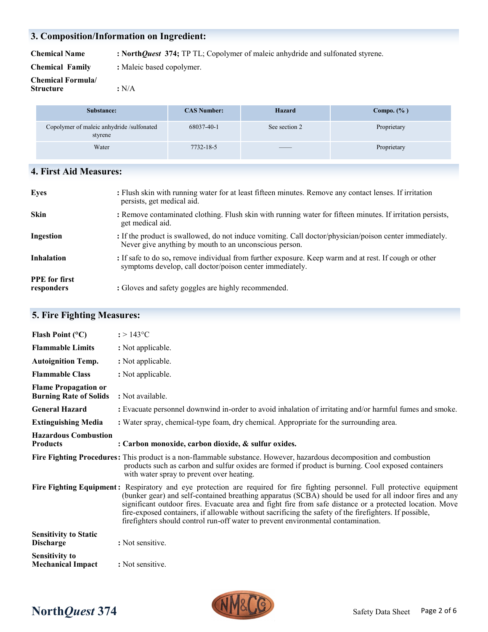### **3. Composition/Information on Ingredient:**

**Chemical Name : North***Quest* **374;** TP TL; Copolymer of maleic anhydride and sulfonated styrene.

**Chemical Family :** Maleic based copolymer.

**Chemical Formula/ Structure :** N/A

| Substance:                                           | <b>CAS Number:</b> | <b>Hazard</b>                                                                                                                                                                                                                                                                                                                                                                                                                                                              | Compo. $(\% )$ |
|------------------------------------------------------|--------------------|----------------------------------------------------------------------------------------------------------------------------------------------------------------------------------------------------------------------------------------------------------------------------------------------------------------------------------------------------------------------------------------------------------------------------------------------------------------------------|----------------|
| Copolymer of maleic anhydride /sulfonated<br>styrene | 68037-40-1         | See section 2                                                                                                                                                                                                                                                                                                                                                                                                                                                              | Proprietary    |
| Water                                                | 7732-18-5          | $\frac{1}{2} \left( \frac{1}{2} \right) \left( \frac{1}{2} \right) \left( \frac{1}{2} \right) \left( \frac{1}{2} \right) \left( \frac{1}{2} \right) \left( \frac{1}{2} \right) \left( \frac{1}{2} \right) \left( \frac{1}{2} \right) \left( \frac{1}{2} \right) \left( \frac{1}{2} \right) \left( \frac{1}{2} \right) \left( \frac{1}{2} \right) \left( \frac{1}{2} \right) \left( \frac{1}{2} \right) \left( \frac{1}{2} \right) \left( \frac{1}{2} \right) \left( \frac$ | Proprietary    |

### **4. First Aid Measures:**

| <b>Eyes</b>                        | : Flush skin with running water for at least fifteen minutes. Remove any contact lenses. If irritation<br>persists, get medical aid.                              |
|------------------------------------|-------------------------------------------------------------------------------------------------------------------------------------------------------------------|
| <b>Skin</b>                        | : Remove contaminated clothing. Flush skin with running water for fifteen minutes. If irritation persists,<br>get medical aid.                                    |
| Ingestion                          | : If the product is swallowed, do not induce vomiting. Call doctor/physician/poison center immediately.<br>Never give anything by mouth to an unconscious person. |
| <b>Inhalation</b>                  | : If safe to do so, remove individual from further exposure. Keep warm and at rest. If cough or other<br>symptoms develop, call doctor/poison center immediately. |
| <b>PPE</b> for first<br>responders | : Gloves and safety goggles are highly recommended.                                                                                                               |

### **5. Fire Fighting Measures:**

| Flash Point $(°C)$                                           | $: > 143^{\circ}C$                                                                                                                                                                                                                                                                                                                                                                                                                                                                                                                                |
|--------------------------------------------------------------|---------------------------------------------------------------------------------------------------------------------------------------------------------------------------------------------------------------------------------------------------------------------------------------------------------------------------------------------------------------------------------------------------------------------------------------------------------------------------------------------------------------------------------------------------|
| <b>Flammable Limits</b>                                      | : Not applicable.                                                                                                                                                                                                                                                                                                                                                                                                                                                                                                                                 |
| <b>Autoignition Temp.</b>                                    | : Not applicable.                                                                                                                                                                                                                                                                                                                                                                                                                                                                                                                                 |
| <b>Flammable Class</b>                                       | : Not applicable.                                                                                                                                                                                                                                                                                                                                                                                                                                                                                                                                 |
| <b>Flame Propagation or</b><br><b>Burning Rate of Solids</b> | : Not available.                                                                                                                                                                                                                                                                                                                                                                                                                                                                                                                                  |
| <b>General Hazard</b>                                        | : Evacuate personnel downwind in-order to avoid inhalation of irritating and/or harmful fumes and smoke.                                                                                                                                                                                                                                                                                                                                                                                                                                          |
| <b>Extinguishing Media</b>                                   | : Water spray, chemical-type foam, dry chemical. Appropriate for the surrounding area.                                                                                                                                                                                                                                                                                                                                                                                                                                                            |
| <b>Hazardous Combustion</b><br><b>Products</b>               | : Carbon monoxide, carbon dioxide, & sulfur oxides.                                                                                                                                                                                                                                                                                                                                                                                                                                                                                               |
|                                                              | Fire Fighting Procedures: This product is a non-flammable substance. However, hazardous decomposition and combustion<br>products such as carbon and sulfur oxides are formed if product is burning. Cool exposed containers<br>with water spray to prevent over heating.                                                                                                                                                                                                                                                                          |
|                                                              | Fire Fighting Equipment: Respiratory and eye protection are required for fire fighting personnel. Full protective equipment<br>(bunker gear) and self-contained breathing apparatus (SCBA) should be used for all indoor fires and any<br>significant outdoor fires. Evacuate area and fight fire from safe distance or a protected location. Move<br>fire-exposed containers, if allowable without sacrificing the safety of the firefighters. If possible,<br>firefighters should control run-off water to prevent environmental contamination. |
| <b>Sensitivity to Static</b><br><b>Discharge</b>             | : Not sensitive.                                                                                                                                                                                                                                                                                                                                                                                                                                                                                                                                  |
| <b>Sensitivity to</b><br><b>Mechanical Impact</b>            | : Not sensitive.                                                                                                                                                                                                                                                                                                                                                                                                                                                                                                                                  |



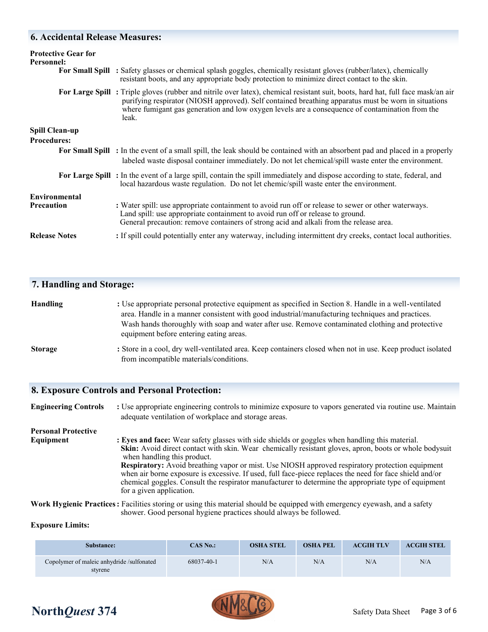#### **6. Accidental Release Measures:**

| <b>Protective Gear for</b><br>Personnel:    | For Small Spill : Safety glasses or chemical splash goggles, chemically resistant gloves (rubber/latex), chemically<br>resistant boots, and any appropriate body protection to minimize direct contact to the skin.                                                                                                                                 |
|---------------------------------------------|-----------------------------------------------------------------------------------------------------------------------------------------------------------------------------------------------------------------------------------------------------------------------------------------------------------------------------------------------------|
|                                             | For Large Spill: Triple gloves (rubber and nitrile over latex), chemical resistant suit, boots, hard hat, full face mask/an air<br>purifying respirator (NIOSH approved). Self contained breathing apparatus must be worn in situations<br>where fumigant gas generation and low oxygen levels are a consequence of contamination from the<br>leak. |
| <b>Spill Clean-up</b><br><b>Procedures:</b> |                                                                                                                                                                                                                                                                                                                                                     |
|                                             | For Small Spill : In the event of a small spill, the leak should be contained with an absorbent pad and placed in a properly<br>labeled waste disposal container immediately. Do not let chemical/spill waste enter the environment.                                                                                                                |
|                                             | For Large Spill: In the event of a large spill, contain the spill immediately and dispose according to state, federal, and<br>local hazardous waste regulation. Do not let chemic/spill waste enter the environment.                                                                                                                                |
| Environmental<br><b>Precaution</b>          | : Water spill: use appropriate containment to avoid run off or release to sewer or other waterways.<br>Land spill: use appropriate containment to avoid run off or release to ground.<br>General precaution: remove containers of strong acid and alkali from the release area.                                                                     |
| <b>Release Notes</b>                        | : If spill could potentially enter any waterway, including intermittent dry creeks, contact local authorities.                                                                                                                                                                                                                                      |

#### **7. Handling and Storage:**

| <b>Handling</b> | : Use appropriate personal protective equipment as specified in Section 8. Handle in a well-ventilated |  |  |  |  |
|-----------------|--------------------------------------------------------------------------------------------------------|--|--|--|--|
|                 | area. Handle in a manner consistent with good industrial/manufacturing techniques and practices.       |  |  |  |  |
|                 | Wash hands thoroughly with soap and water after use. Remove contaminated clothing and protective       |  |  |  |  |
|                 | equipment before entering eating areas.                                                                |  |  |  |  |
| $\sim$          |                                                                                                        |  |  |  |  |

**Storage :** Store in a cool, dry well-ventilated area. Keep containers closed when not in use. Keep product isolated from incompatible materials/conditions.

#### **8. Exposure Controls and Personal Protection:**

**Engineering Controls :** Use appropriate engineering controls to minimize exposure to vapors generated via routine use. Maintain adequate ventilation of workplace and storage areas. **Personal Protective Equipment** : Eyes and face: Wear safety glasses with side shields or goggles when handling this material.

 **Skin:** Avoid direct contact with skin. Wear chemically resistant gloves, apron, boots or whole bodysuit when handling this product. **Respiratory:** Avoid breathing vapor or mist. Use NIOSH approved respiratory protection equipment when air borne exposure is excessive. If used, full face-piece replaces the need for face shield and/or chemical goggles. Consult the respirator manufacturer to determine the appropriate type of equipment for a given application.

**Work Hygienic Practices:** Facilities storing or using this material should be equipped with emergency eyewash, and a safety shower. Good personal hygiene practices should always be followed.

#### **Exposure Limits:**

| Substance:                                           | CAS No.:   | <b>OSHA STEL</b> | <b>OSHA PEL</b> | <b>ACGIH TLV</b> | <b>ACGIH STEL</b> |
|------------------------------------------------------|------------|------------------|-----------------|------------------|-------------------|
| Copolymer of maleic anhydride /sulfonated<br>stvrene | 68037-40-1 | N/A              | N/A             | N/A              | N/A               |

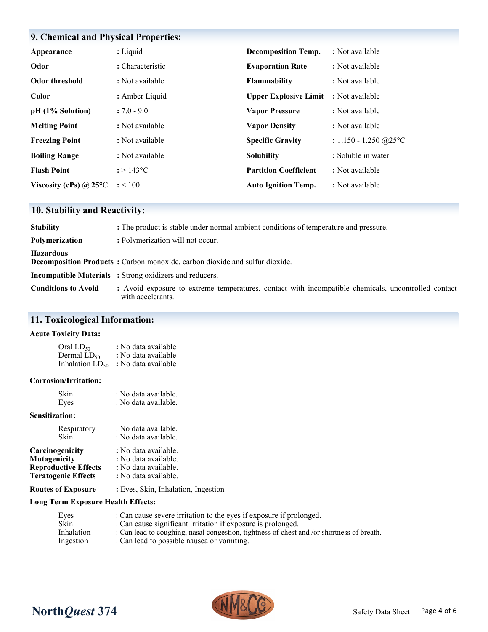## **9. Chemical and Physical Properties:**

| Appearance                    | : Liquid           | <b>Decomposition Temp.</b>   | : Not available                    |
|-------------------------------|--------------------|------------------------------|------------------------------------|
| Odor                          | : Characteristic   | <b>Evaporation Rate</b>      | : Not available                    |
| <b>Odor threshold</b>         | : Not available    | <b>Flammability</b>          | : Not available                    |
| Color                         | : Amber Liquid     | <b>Upper Explosive Limit</b> | : Not available                    |
| pH (1% Solution)              | $: 7.0 - 9.0$      | <b>Vapor Pressure</b>        | : Not available                    |
| <b>Melting Point</b>          | : Not available    | <b>Vapor Density</b>         | : Not available                    |
| <b>Freezing Point</b>         | : Not available    | <b>Specific Gravity</b>      | : $1.150 - 1.250$ @ $25^{\circ}$ C |
| <b>Boiling Range</b>          | : Not available    | <b>Solubility</b>            | : Soluble in water                 |
| <b>Flash Point</b>            | $: > 143^{\circ}C$ | <b>Partition Coefficient</b> | : Not available                    |
| Viscosity (cPs) $\omega$ 25°C | : < 100            | <b>Auto Ignition Temp.</b>   | : Not available                    |

### **10. Stability and Reactivity:**

| <b>Stability</b>           | : The product is stable under normal ambient conditions of temperature and pressure.                                     |
|----------------------------|--------------------------------------------------------------------------------------------------------------------------|
| Polymerization             | : Polymerization will not occur.                                                                                         |
| <b>Hazardous</b>           | Decomposition Products: Carbon monoxide, carbon dioxide and sulfur dioxide.                                              |
|                            | <b>Incompatible Materials</b> : Strong oxidizers and reducers.                                                           |
| <b>Conditions to Avoid</b> | : Avoid exposure to extreme temperatures, contact with incompatible chemicals, uncontrolled contact<br>with accelerants. |

### **11. Toxicological Information:**

#### **Acute Toxicity Data:**

| Oral LD50               | : No data available |
|-------------------------|---------------------|
| Dermal LD <sub>50</sub> | : No data available |
| Inhalation $LD_{50}$    | : No data available |

#### **Corrosion/Irritation:**

| Skin | : No data available. |
|------|----------------------|
| Eyes | : No data available. |

#### **Sensitization:**

| Respiratory                 | : No data available. |
|-----------------------------|----------------------|
| <b>Skin</b>                 | : No data available. |
| Carcinogenicity             | : No data available. |
| Mutagenicity                | : No data available. |
| <b>Reproductive Effects</b> | : No data available. |
| <b>Teratogenic Effects</b>  | : No data available. |
|                             |                      |

**Routes of Exposure :** Eyes, Skin, Inhalation, Ingestion

#### **Long Term Exposure Health Effects:**

| Eyes       | : Can cause severe irritation to the eyes if exposure if prolonged.                       |
|------------|-------------------------------------------------------------------------------------------|
| Skin       | : Can cause significant irritation if exposure is prolonged.                              |
| Inhalation | : Can lead to coughing, nasal congestion, tightness of chest and /or shortness of breath. |
| Ingestion  | : Can lead to possible nausea or vomiting.                                                |



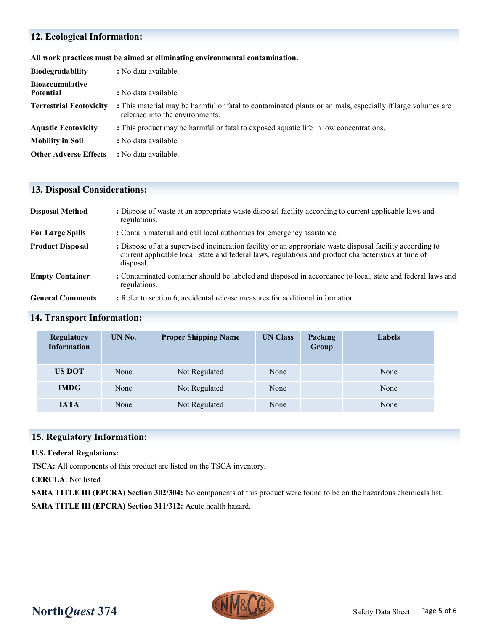### **12. Ecological Information:**

#### **All work practices must be aimed at eliminating environmental contamination.**

| <b>Biodegradability</b>                    | : No data available.                                                                                                                          |
|--------------------------------------------|-----------------------------------------------------------------------------------------------------------------------------------------------|
| <b>Bioaccumulative</b><br><b>Potential</b> | : No data available.                                                                                                                          |
| <b>Terrestrial Ecotoxicity</b>             | : This material may be harmful or fatal to contaminated plants or animals, especially if large volumes are<br>released into the environments. |
| <b>Aquatic Ecotoxicity</b>                 | : This product may be harmful or fatal to exposed aquatic life in low concentrations.                                                         |
| <b>Mobility in Soil</b>                    | : No data available.                                                                                                                          |
| <b>Other Adverse Effects</b>               | : No data available.                                                                                                                          |

### **13. Disposal Considerations:**

| <b>Disposal Method</b>  | : Dispose of waste at an appropriate waste disposal facility according to current applicable laws and<br>regulations.                                                                                                          |
|-------------------------|--------------------------------------------------------------------------------------------------------------------------------------------------------------------------------------------------------------------------------|
| <b>For Large Spills</b> | : Contain material and call local authorities for emergency assistance.                                                                                                                                                        |
| <b>Product Disposal</b> | : Dispose of at a supervised incineration facility or an appropriate waste disposal facility according to<br>current applicable local, state and federal laws, regulations and product characteristics at time of<br>disposal. |
| <b>Empty Container</b>  | : Contaminated container should be labeled and disposed in accordance to local, state and federal laws and<br>regulations.                                                                                                     |
| <b>General Comments</b> | : Refer to section 6, accidental release measures for additional information.                                                                                                                                                  |

### **14. Transport Information:**

| <b>Regulatory</b><br><b>Information</b> | UN No. | <b>Proper Shipping Name</b> | <b>UN Class</b> | Packing<br>Group | <b>Labels</b> |
|-----------------------------------------|--------|-----------------------------|-----------------|------------------|---------------|
| <b>US DOT</b>                           | None   | Not Regulated               | None            |                  | None          |
| <b>IMDG</b>                             | None   | Not Regulated               | None            |                  | None          |
| <b>IATA</b>                             | None   | Not Regulated               | None            |                  | None          |

### **15. Regulatory Information:**

#### **U.S. Federal Regulations:**

**TSCA:** All components of this product are listed on the TSCA inventory.

#### **CERCLA**: Not listed

**SARA TITLE III (EPCRA) Section 302/304:** No components of this product were found to be on the hazardous chemicals list. **SARA TITLE III (EPCRA) Section 311/312:** Acute health hazard.